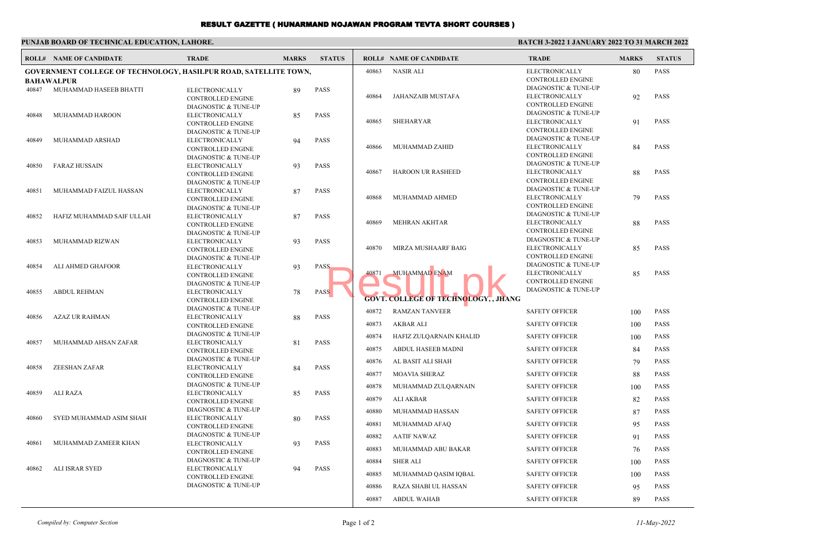## RESULT GAZETTE ( HUNARMAND NOJAWAN PROGRAM TEVTA SHORT COURSES )

| PUNJAB BOARD OF TECHNICAL EDUCATION. LAHORE. |  |
|----------------------------------------------|--|
|----------------------------------------------|--|

## **BATCH 3-2022 1 JANUARY 2022 TO 31 MARCH 2022**

|       | <b>ROLL# NAME OF CANDIDATE</b>                                          | <b>TRADE</b>                                      | <b>MARKS</b> | <b>STATUS</b> |       | <b>ROLL# NAME OF CANDIDATE</b>              | <b>TRADE</b>                                     | <b>MARKS</b> | <b>STATUS</b> |
|-------|-------------------------------------------------------------------------|---------------------------------------------------|--------------|---------------|-------|---------------------------------------------|--------------------------------------------------|--------------|---------------|
|       | <b>GOVERNMENT COLLEGE OF TECHNOLOGY, HASILPUR ROAD, SATELLITE TOWN,</b> |                                                   |              |               | 40863 | <b>NASIR ALI</b>                            | <b>ELECTRONICALLY</b>                            | 80           | <b>PASS</b>   |
|       | <b>BAHAWALPUR</b>                                                       |                                                   |              |               |       |                                             | CONTROLLED ENGINE<br>DIAGNOSTIC & TUNE-UP        |              |               |
| 40847 | MUHAMMAD HASEEB BHATTI                                                  | ELECTRONICALLY<br><b>CONTROLLED ENGINE</b>        | 89           | <b>PASS</b>   | 40864 | <b>JAHANZAIB MUSTAFA</b>                    | ELECTRONICALLY                                   | 92           | <b>PASS</b>   |
|       |                                                                         | DIAGNOSTIC & TUNE-UP                              |              |               |       |                                             | CONTROLLED ENGINE                                |              |               |
| 40848 | MUHAMMAD HAROON                                                         | <b>ELECTRONICALLY</b>                             | 85           | <b>PASS</b>   |       |                                             | DIAGNOSTIC & TUNE-UP                             |              |               |
|       |                                                                         | <b>CONTROLLED ENGINE</b>                          |              |               | 40865 | <b>SHEHARYAR</b>                            | ELECTRONICALLY                                   | 91           | <b>PASS</b>   |
|       |                                                                         | DIAGNOSTIC & TUNE-UP                              |              |               |       |                                             | CONTROLLED ENGINE                                |              |               |
| 40849 | MUHAMMAD ARSHAD                                                         | ELECTRONICALLY                                    | 94           | <b>PASS</b>   |       |                                             | DIAGNOSTIC & TUNE-UP                             |              |               |
|       |                                                                         | <b>CONTROLLED ENGINE</b>                          |              |               | 40866 | MUHAMMAD ZAHID                              | ELECTRONICALLY                                   | 84           | <b>PASS</b>   |
|       |                                                                         | DIAGNOSTIC & TUNE-UP                              |              |               |       |                                             | <b>CONTROLLED ENGINE</b><br>DIAGNOSTIC & TUNE-UP |              |               |
| 40850 | <b>FARAZ HUSSAIN</b>                                                    | ELECTRONICALLY                                    | 93           | <b>PASS</b>   | 40867 | <b>HAROON UR RASHEED</b>                    | ELECTRONICALLY                                   | 88           | <b>PASS</b>   |
|       |                                                                         | <b>CONTROLLED ENGINE</b><br>DIAGNOSTIC & TUNE-UP  |              |               |       |                                             | CONTROLLED ENGINE                                |              |               |
| 40851 | MUHAMMAD FAIZUL HASSAN                                                  | ELECTRONICALLY                                    | 87           | <b>PASS</b>   |       |                                             | DIAGNOSTIC & TUNE-UP                             |              |               |
|       |                                                                         | CONTROLLED ENGINE                                 |              |               | 40868 | MUHAMMAD AHMED                              | ELECTRONICALLY                                   | 79           | <b>PASS</b>   |
|       |                                                                         | DIAGNOSTIC & TUNE-UP                              |              |               |       |                                             | <b>CONTROLLED ENGINE</b>                         |              |               |
| 40852 | HAFIZ MUHAMMAD SAIF ULLAH                                               | ELECTRONICALLY                                    | 87           | <b>PASS</b>   |       |                                             | DIAGNOSTIC & TUNE-UP                             |              |               |
|       |                                                                         | CONTROLLED ENGINE                                 |              |               | 40869 | <b>MEHRAN AKHTAR</b>                        | <b>ELECTRONICALLY</b>                            | 88           | <b>PASS</b>   |
|       |                                                                         | <b>DIAGNOSTIC &amp; TUNE-UP</b>                   |              |               |       |                                             | CONTROLLED ENGINE<br>DIAGNOSTIC & TUNE-UP        |              |               |
| 40853 | MUHAMMAD RIZWAN                                                         | ELECTRONICALLY                                    | 93           | <b>PASS</b>   | 40870 | MIRZA MUSHAARF BAIG                         | ELECTRONICALLY                                   | 85           | <b>PASS</b>   |
|       |                                                                         | <b>CONTROLLED ENGINE</b><br>DIAGNOSTIC & TUNE-UP  |              |               |       |                                             | <b>CONTROLLED ENGINE</b>                         |              |               |
| 40854 | ALI AHMED GHAFOOR                                                       | ELECTRONICALLY                                    | 93           | <b>PASS</b>   |       | <b>MUHAMMAD ENAM</b>                        | DIAGNOSTIC & TUNE-UP                             |              |               |
|       |                                                                         | CONTROLLED ENGINE                                 |              |               | 40871 |                                             | ELECTRONICALLY                                   | 85           | <b>PASS</b>   |
|       |                                                                         | DIAGNOSTIC & TUNE-UP                              |              |               |       |                                             | <b>CONTROLLED ENGINE</b>                         |              |               |
| 40855 | <b>ABDUL REHMAN</b>                                                     | ELECTRONICALLY                                    | 78           | <b>PASS</b>   |       |                                             | DIAGNOSTIC & TUNE-UP                             |              |               |
|       |                                                                         | <b>CONTROLLED ENGINE</b>                          |              |               |       | <b>GOVT. COLLEGE OF TECHNOLOGY, , JHANG</b> |                                                  |              |               |
|       | <b>AZAZ UR RAHMAN</b>                                                   | DIAGNOSTIC & TUNE-UP                              |              | PASS          | 40872 | <b>RAMZAN TANVEER</b>                       | <b>SAFETY OFFICER</b>                            | 100          | <b>PASS</b>   |
| 40856 |                                                                         | <b>ELECTRONICALLY</b><br><b>CONTROLLED ENGINE</b> | 88           |               | 40873 | <b>AKBAR ALI</b>                            | <b>SAFETY OFFICER</b>                            | 100          | <b>PASS</b>   |
|       |                                                                         | DIAGNOSTIC & TUNE-UP                              |              |               | 40874 | HAFIZ ZULQARNAIN KHALID                     | <b>SAFETY OFFICER</b>                            | 100          | <b>PASS</b>   |
| 40857 | MUHAMMAD AHSAN ZAFAR                                                    | ELECTRONICALLY                                    | 81           | <b>PASS</b>   |       |                                             |                                                  |              |               |
|       |                                                                         | <b>CONTROLLED ENGINE</b><br>DIAGNOSTIC & TUNE-UP  |              |               | 40875 | ABDUL HASEEB MADNI                          | <b>SAFETY OFFICER</b>                            | 84           | <b>PASS</b>   |
| 40858 | <b>ZEESHAN ZAFAR</b>                                                    | ELECTRONICALLY                                    | 84           | <b>PASS</b>   | 40876 | AL BASIT ALI SHAH                           | <b>SAFETY OFFICER</b>                            | 79           | <b>PASS</b>   |
|       |                                                                         | <b>CONTROLLED ENGINE</b>                          |              |               | 40877 | <b>MOAVIA SHERAZ</b>                        | <b>SAFETY OFFICER</b>                            | 88           | <b>PASS</b>   |
| 40859 | <b>ALI RAZA</b>                                                         | DIAGNOSTIC & TUNE-UP<br>ELECTRONICALLY            | 85           | <b>PASS</b>   | 40878 | MUHAMMAD ZULQARNAIN                         | <b>SAFETY OFFICER</b>                            | 100          | <b>PASS</b>   |
|       |                                                                         | <b>CONTROLLED ENGINE</b>                          |              |               | 40879 | ALI AKBAR                                   | <b>SAFETY OFFICER</b>                            | 82           | <b>PASS</b>   |
|       |                                                                         | DIAGNOSTIC & TUNE-UP                              |              |               | 40880 | MUHAMMAD HASSAN                             | <b>SAFETY OFFICER</b>                            | 87           | <b>PASS</b>   |
| 40860 | SYED MUHAMMAD ASIM SHAH                                                 | ELECTRONICALLY<br><b>CONTROLLED ENGINE</b>        | 80           | <b>PASS</b>   | 40881 | MUHAMMAD AFAQ                               | <b>SAFETY OFFICER</b>                            | 95           | <b>PASS</b>   |
| 40861 | MUHAMMAD ZAMEER KHAN                                                    | DIAGNOSTIC & TUNE-UP                              |              |               | 40882 | <b>AATIF NAWAZ</b>                          | <b>SAFETY OFFICER</b>                            | 91           | <b>PASS</b>   |
|       |                                                                         | ELECTRONICALLY<br><b>CONTROLLED ENGINE</b>        | 93           | <b>PASS</b>   | 40883 | MUHAMMAD ABU BAKAR                          | <b>SAFETY OFFICER</b>                            | 76           | <b>PASS</b>   |
|       |                                                                         | DIAGNOSTIC & TUNE-UP                              |              |               | 40884 | <b>SHER ALI</b>                             | <b>SAFETY OFFICER</b>                            | 100          | <b>PASS</b>   |
| 40862 | ALI ISRAR SYED                                                          | ELECTRONICALLY                                    | 94           | <b>PASS</b>   | 40885 | MUHAMMAD QASIM IQBAL                        | <b>SAFETY OFFICER</b>                            |              | <b>PASS</b>   |
|       |                                                                         | <b>CONTROLLED ENGINE</b>                          |              |               |       |                                             |                                                  | 100          |               |
|       |                                                                         | DIAGNOSTIC & TUNE-UP                              |              |               | 40886 | RAZA SHABI UL HASSAN                        | <b>SAFETY OFFICER</b>                            | 95           | <b>PASS</b>   |
|       |                                                                         |                                                   |              |               | 40887 | <b>ABDUL WAHAB</b>                          | <b>SAFETY OFFICER</b>                            | 89           | <b>PASS</b>   |